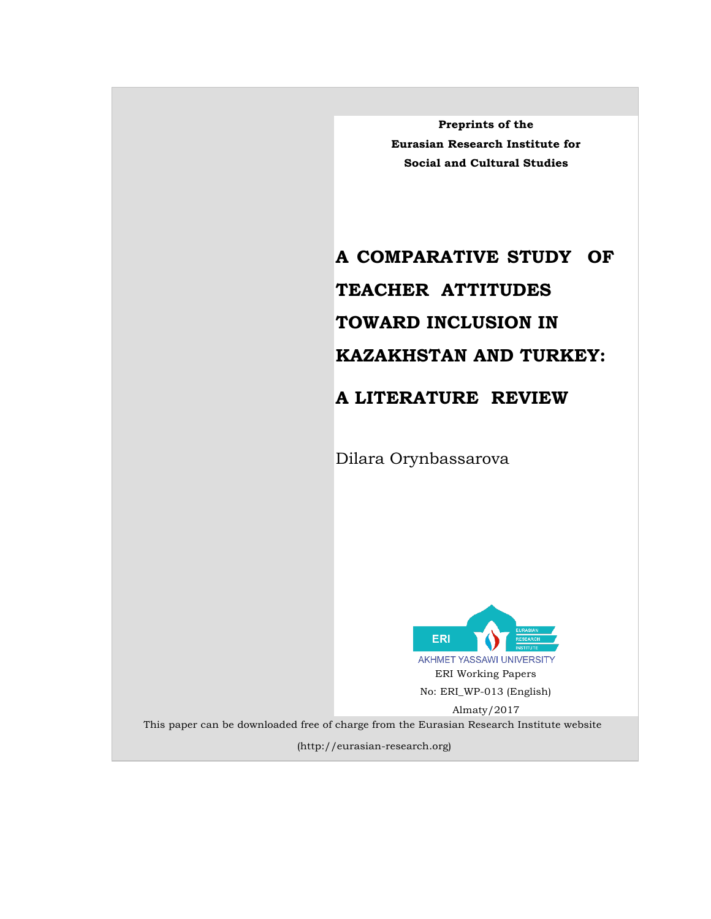**Preprints of the Eurasian Research Institute for Social and Cultural Studies**

# **A COMPARATIVE STUDY OF TEACHER ATTITUDES TOWARD INCLUSION IN KAZAKHSTAN AND TURKEY:**

## **A LITERATURE REVIEW**

Dilara Orynbassarova



This paper can be downloaded free of charge from the Eurasian Research Institute website

(http://eurasian-research.org)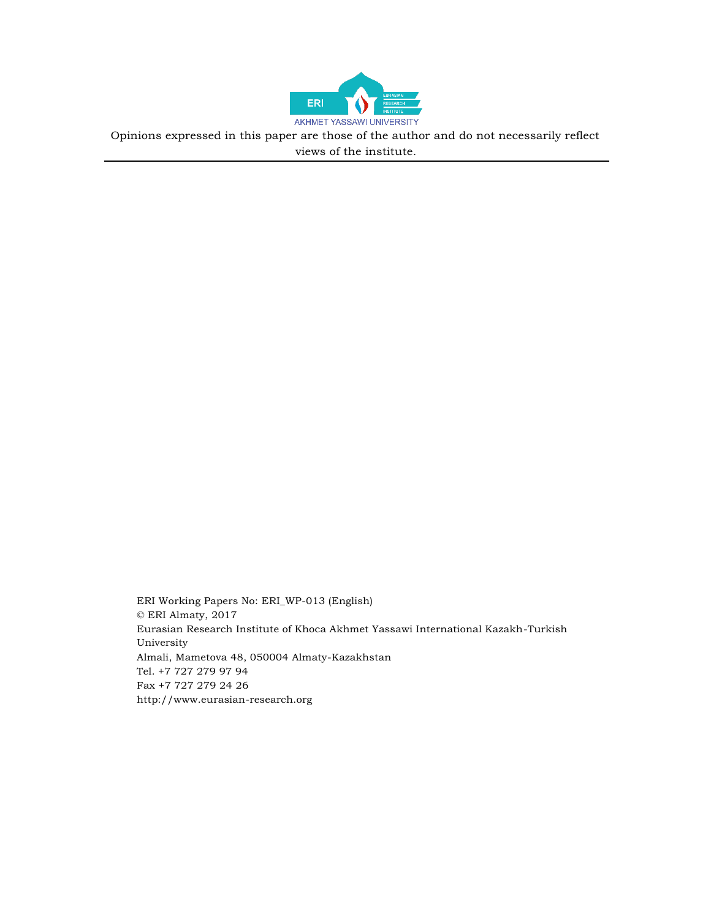

Opinions expressed in this paper are those of the author and do not necessarily reflect views of the institute.

ERI Working Papers No: ERI\_WP-013 (English) © ERI Almaty, 2017 Eurasian Research Institute of Khoca Akhmet Yassawi International Kazakh-Turkish University Almali, Mametova 48, 050004 Almaty-Kazakhstan Tel. +7 727 279 97 94 Fax +7 727 279 24 26 [http://www.eurasian-research.org](http://www.eurasian-research.org/)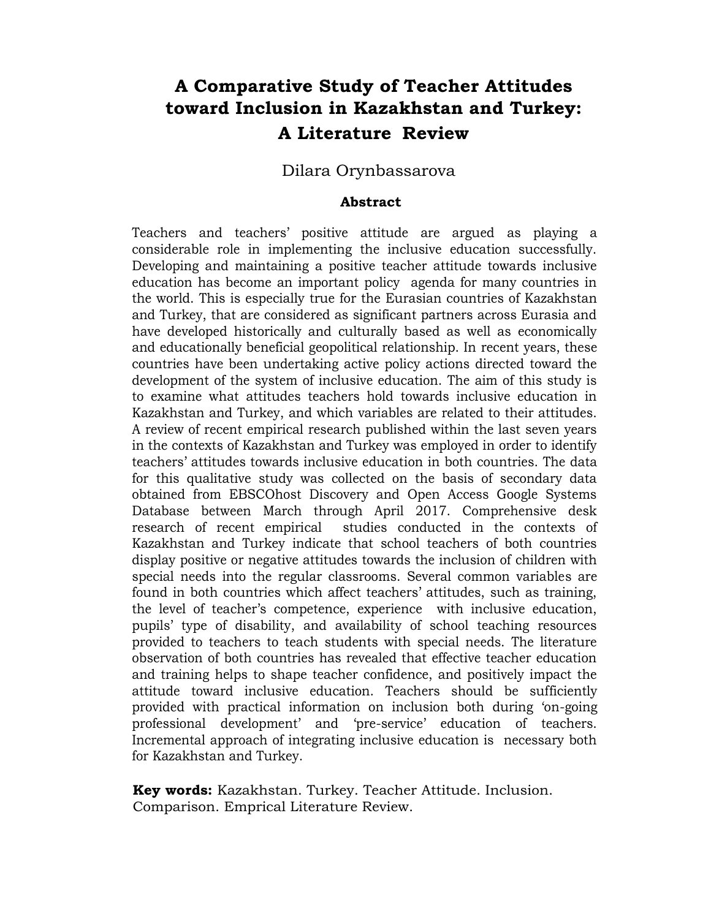# **A Comparative Study of Teacher Attitudes toward Inclusion in Kazakhstan and Turkey: A Literature Review**

#### Dilara Orynbassarova

#### **Abstract**

Teachers and teachers' positive attitude are argued as playing a considerable role in implementing the inclusive education successfully. Developing and maintaining a positive teacher attitude towards inclusive education has become an important policy agenda for many countries in the world. This is especially true for the Eurasian countries of Kazakhstan and Turkey, that are considered as significant partners across Eurasia and have developed historically and culturally based as well as economically and educationally beneficial geopolitical relationship. In recent years, these countries have been undertaking active policy actions directed toward the development of the system of inclusive education. The aim of this study is to examine what attitudes teachers hold towards inclusive education in Kazakhstan and Turkey, and which variables are related to their attitudes. A review of recent empirical research published within the last seven years in the contexts of Kazakhstan and Turkey was employed in order to identify teachers' attitudes towards inclusive education in both countries. The data for this qualitative study was collected on the basis of secondary data obtained from EBSCOhost Discovery and Open Access Google Systems Database between March through April 2017. Comprehensive desk research of recent empirical studies conducted in the contexts of Kazakhstan and Turkey indicate that school teachers of both countries display positive or negative attitudes towards the inclusion of children with special needs into the regular classrooms. Several common variables are found in both countries which affect teachers' attitudes, such as training, the level of teacher's competence, experience with inclusive education, pupils' type of disability, and availability of school teaching resources provided to teachers to teach students with special needs. The literature observation of both countries has revealed that effective teacher education and training helps to shape teacher confidence, and positively impact the attitude toward inclusive education. Teachers should be sufficiently provided with practical information on inclusion both during 'on-going professional development' and 'pre-service' education of teachers. Incremental approach of integrating inclusive education is necessary both for Kazakhstan and Turkey.

**Key words:** Kazakhstan. Turkey. Teacher Attitude. Inclusion. Comparison. Emprical Literature Review.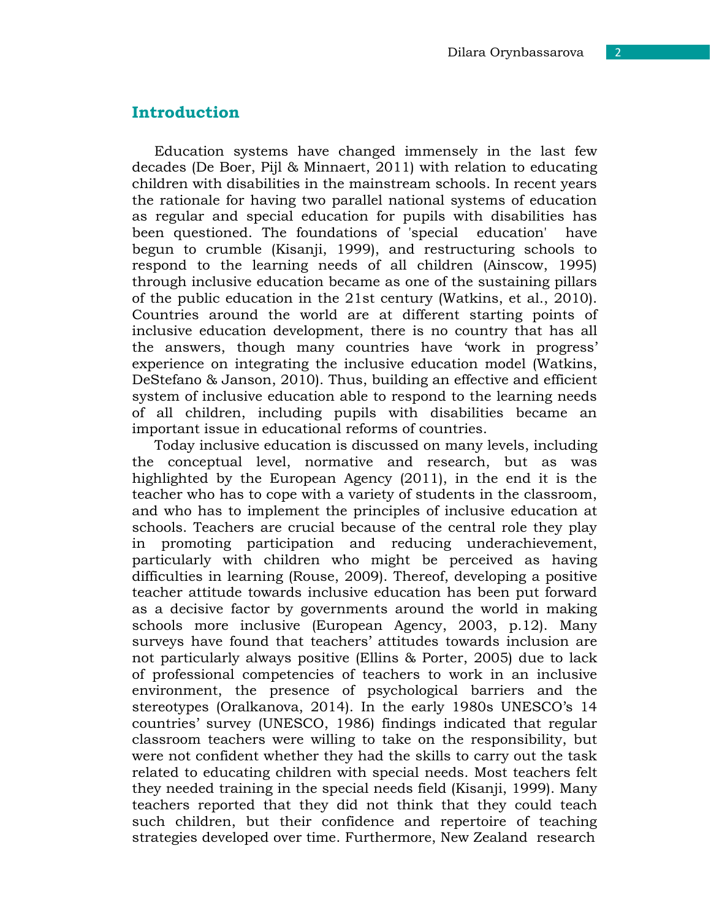#### **Introduction**

Education systems have changed immensely in the last few decades (De Boer, Pijl & Minnaert, 2011) with relation to educating children with disabilities in the mainstream schools. In recent years the rationale for having two parallel national systems of education as regular and special education for pupils with disabilities has been questioned. The foundations of 'special education' have begun to crumble (Kisanji, 1999), and restructuring schools to respond to the learning needs of all children (Ainscow, 1995) through inclusive education became as one of the sustaining pillars of the public education in the 21st century (Watkins, et al., 2010). Countries around the world are at different starting points of inclusive education development, there is no country that has all the answers, though many countries have 'work in progress' experience on integrating the inclusive education model (Watkins, DeStefano & Janson, 2010). Thus, building an effective and efficient system of inclusive education able to respond to the learning needs of all children, including pupils with disabilities became an important issue in educational reforms of countries.

Today inclusive education is discussed on many levels, including the conceptual level, normative and research, but as was highlighted by the European Agency (2011), in the end it is the teacher who has to cope with a variety of students in the classroom, and who has to implement the principles of inclusive education at schools. Teachers are crucial because of the central role they play in promoting participation and reducing underachievement, particularly with children who might be perceived as having difficulties in learning (Rouse, 2009). Thereof, developing a positive teacher attitude towards inclusive education has been put forward as a decisive factor by governments around the world in making schools more inclusive (European Agency, 2003, p.12). Many surveys have found that teachers' attitudes towards inclusion are not particularly always positive (Ellins & Porter, 2005) due to lack of professional competencies of teachers to work in an inclusive environment, the presence of psychological barriers and the stereotypes (Oralkanova, 2014). In the early 1980s UNESCO's 14 countries' survey (UNESCO, 1986) findings indicated that regular classroom teachers were willing to take on the responsibility, but were not confident whether they had the skills to carry out the task related to educating children with special needs. Most teachers felt they needed training in the special needs field (Kisanji, 1999). Many teachers reported that they did not think that they could teach such children, but their confidence and repertoire of teaching strategies developed over time. Furthermore, New Zealand research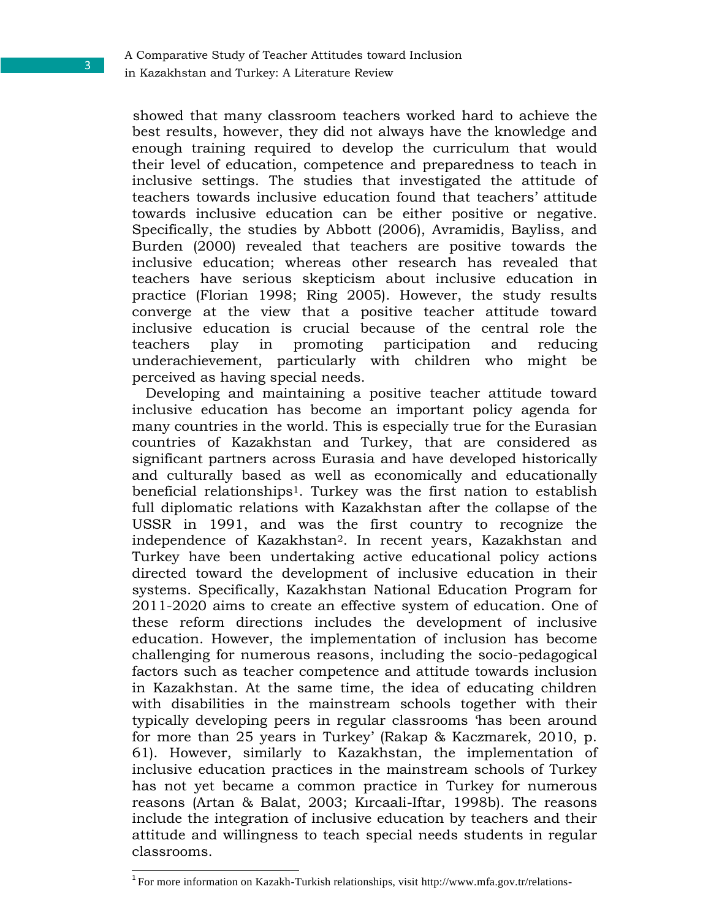in Kazakhstan and Turkey: A Literature Review

showed that many classroom teachers worked hard to achieve the best results, however, they did not always have the knowledge and enough training required to develop the curriculum that would their level of education, competence and preparedness to teach in inclusive settings. The studies that investigated the attitude of teachers towards inclusive education found that teachers' attitude towards inclusive education can be either positive or negative. Specifically, the studies by Abbott (2006), Avramidis, Bayliss, and Burden (2000) revealed that teachers are positive towards the inclusive education; whereas other research has revealed that teachers have serious skepticism about inclusive education in practice (Florian 1998; Ring 2005). However, the study results converge at the view that a positive teacher attitude toward inclusive education is crucial because of the central role the teachers play in promoting participation and reducing underachievement, particularly with children who might be perceived as having special needs.

Developing and maintaining a positive teacher attitude toward inclusive education has become an important policy agenda for many countries in the world. This is especially true for the Eurasian countries of Kazakhstan and Turkey, that are considered as significant partners across Eurasia and have developed historically and culturally based as well as economically and educationally beneficial relationships1. Turkey was the first nation to establish full diplomatic relations with Kazakhstan after the collapse of the USSR in 1991, and was the first country to recognize the independence of Kazakhstan2. In recent years, Kazakhstan and Turkey have been undertaking active educational policy actions directed toward the development of inclusive education in their systems. Specifically, Kazakhstan National Education Program for 2011-2020 aims to create an effective system of education. One of these reform directions includes the development of inclusive education. However, the implementation of inclusion has become challenging for numerous reasons, including the socio-pedagogical factors such as teacher competence and attitude towards inclusion in Kazakhstan. At the same time, the idea of educating children with disabilities in the mainstream schools together with their typically developing peers in regular classrooms 'has been around for more than 25 years in Turkey' (Rakap & Kaczmarek, 2010, p. 61). However, similarly to Kazakhstan, the implementation of inclusive education practices in the mainstream schools of Turkey has not yet became a common practice in Turkey for numerous reasons (Artan & Balat, 2003; Kırcaali-Iftar, 1998b). The reasons include the integration of inclusive education by teachers and their attitude and willingness to teach special needs students in regular classrooms.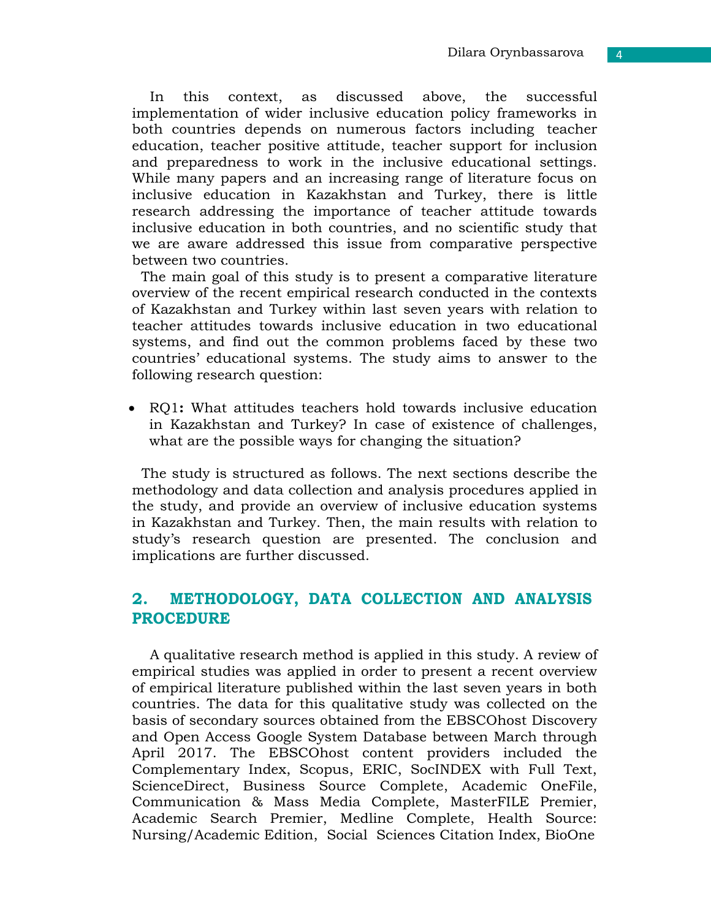In this context, as discussed above, the successful implementation of wider inclusive education policy frameworks in both countries depends on numerous factors including teacher education, teacher positive attitude, teacher support for inclusion and preparedness to work in the inclusive educational settings. While many papers and an increasing range of literature focus on inclusive education in Kazakhstan and Turkey, there is little research addressing the importance of teacher attitude towards inclusive education in both countries, and no scientific study that we are aware addressed this issue from comparative perspective between two countries.

The main goal of this study is to present a comparative literature overview of the recent empirical research conducted in the contexts of Kazakhstan and Turkey within last seven years with relation to teacher attitudes towards inclusive education in two educational systems, and find out the common problems faced by these two countries' educational systems. The study aims to answer to the following research question:

 RQ1**:** What attitudes teachers hold towards inclusive education in Kazakhstan and Turkey? In case of existence of challenges, what are the possible ways for changing the situation?

The study is structured as follows. The next sections describe the methodology and data collection and analysis procedures applied in the study, and provide an overview of inclusive education systems in Kazakhstan and Turkey. Then, the main results with relation to study's research question are presented. The conclusion and implications are further discussed.

## **2. METHODOLOGY, DATA COLLECTION AND ANALYSIS PROCEDURE**

A qualitative research method is applied in this study. A review of empirical studies was applied in order to present a recent overview of empirical literature published within the last seven years in both countries. The data for this qualitative study was collected on the basis of secondary sources obtained from the EBSCOhost Discovery and Open Access Google System Database between March through April 2017. The EBSCOhost content providers included the Complementary Index, Scopus, ERIC, SocINDEX with Full Text, ScienceDirect, Business Source Complete, Academic OneFile, Communication & Mass Media Complete, MasterFILE Premier, Academic Search Premier, Medline Complete, Health Source: Nursing/Academic Edition, Social Sciences Citation Index, BioOne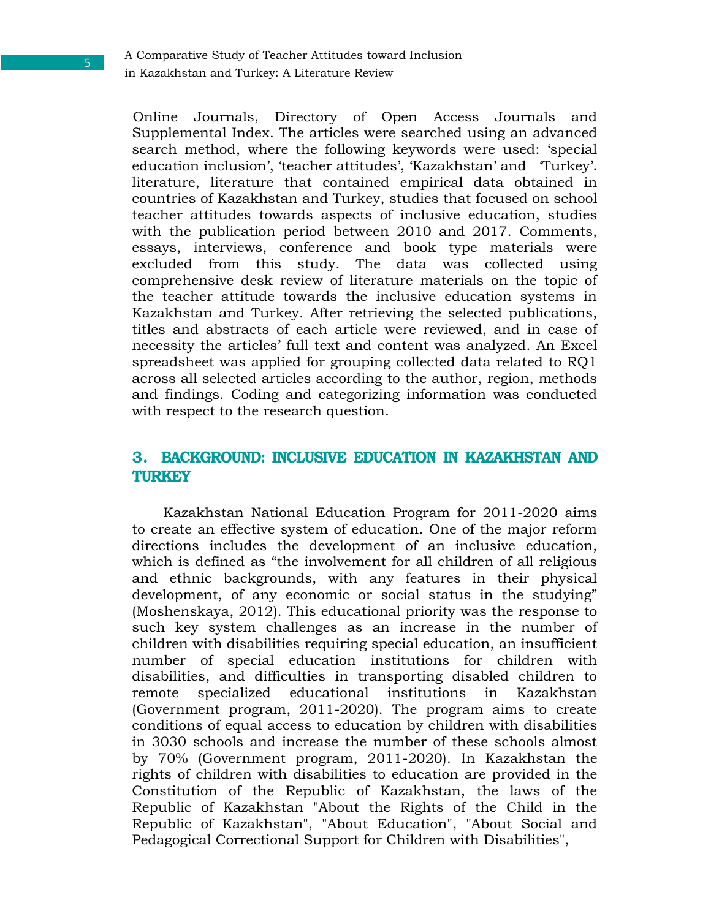Online Journals, Directory of Open Access Journals and Supplemental Index. The articles were searched using an advanced search method, where the following keywords were used: 'special education inclusion', 'teacher attitudes', 'Kazakhstan' and 'Turkey'. literature, literature that contained empirical data obtained in countries of Kazakhstan and Turkey, studies that focused on school teacher attitudes towards aspects of inclusive education, studies with the publication period between 2010 and 2017. Comments, essays, interviews, conference and book type materials were excluded from this study. The data was collected using comprehensive desk review of literature materials on the topic of the teacher attitude towards the inclusive education systems in Kazakhstan and Turkey. After retrieving the selected publications, titles and abstracts of each article were reviewed, and in case of necessity the articles' full text and content was analyzed. An Excel spreadsheet was applied for grouping collected data related to RQ1 across all selected articles according to the author, region, methods and findings. Coding and categorizing information was conducted with respect to the research question.

### **3. BACKGROUND: INCLUSIVE EDUCATION IN KAZAKHSTAN AND TURKEY**

Kazakhstan National Education Program for 2011-2020 aims to create an effective system of education. One of the major reform directions includes the development of an inclusive education, which is defined as "the involvement for all children of all religious and ethnic backgrounds, with any features in their physical development, of any economic or social status in the studying" (Moshenskaya, 2012). This educational priority was the response to such key system challenges as an increase in the number of children with disabilities requiring special education, an insufficient number of special education institutions for children with disabilities, and difficulties in transporting disabled children to remote specialized educational institutions in Kazakhstan (Government program, 2011-2020). The program aims to create conditions of equal access to education by children with disabilities in 3030 schools and increase the number of these schools almost by 70% (Government program, 2011-2020). In Kazakhstan the rights of children with disabilities to education are provided in the Constitution of the Republic of Kazakhstan, the laws of the Republic of Kazakhstan "About the Rights of the Child in the Republic of Kazakhstan", "About Education", "About Social and Pedagogical Correctional Support for Children with Disabilities",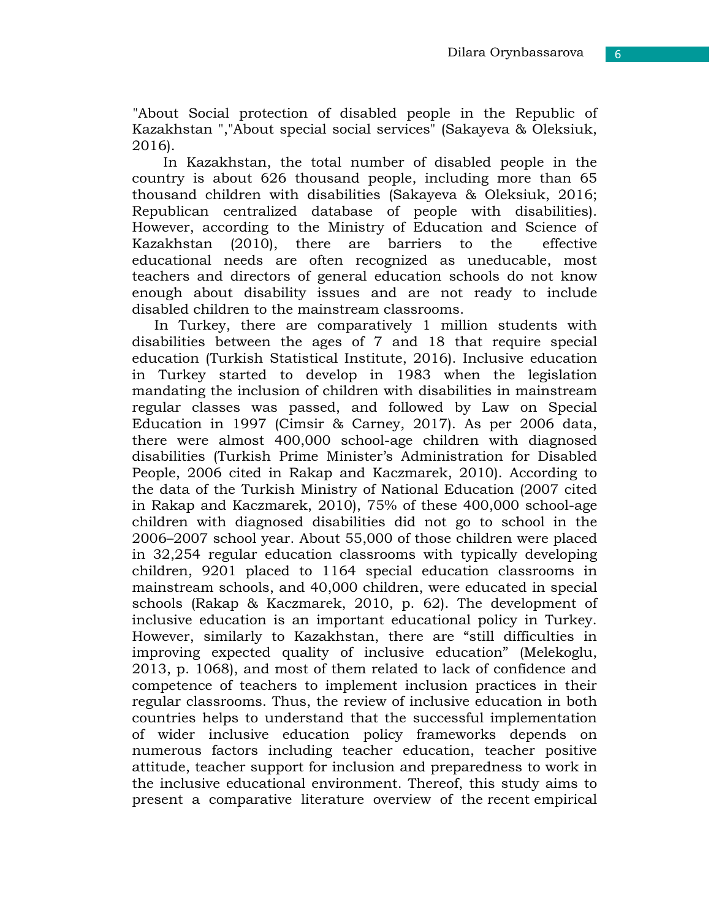6

"About Social protection of disabled people in the Republic of Kazakhstan ","About special social services" (Sakayeva & Oleksiuk, 2016).

In Kazakhstan, the total number of disabled people in the country is about 626 thousand people, including more than 65 thousand children with disabilities (Sakayeva & Oleksiuk, 2016; Republican centralized database of people with disabilities). However, according to the Ministry of Education and Science of Kazakhstan (2010), there are barriers to the effective educational needs are often recognized as uneducable, most teachers and directors of general education schools do not know enough about disability issues and are not ready to include disabled children to the mainstream classrooms.

In Turkey, there are comparatively 1 million students with disabilities between the ages of 7 and 18 that require special education (Turkish Statistical Institute, 2016). Inclusive education in Turkey started to develop in 1983 when the legislation mandating the inclusion of children with disabilities in mainstream regular classes was passed, and followed by Law on Special Education in 1997 (Cimsir & Carney, 2017). As per 2006 data, there were almost 400,000 school-age children with diagnosed disabilities (Turkish Prime Minister's Administration for Disabled People, 2006 cited in Rakap and Kaczmarek, 2010). According to the data of the Turkish Ministry of National Education (2007 cited in Rakap and Kaczmarek, 2010), 75% of these 400,000 school-age children with diagnosed disabilities did not go to school in the 2006–2007 school year. About 55,000 of those children were placed in 32,254 regular education classrooms with typically developing children, 9201 placed to 1164 special education classrooms in mainstream schools, and 40,000 children, were educated in special schools (Rakap & Kaczmarek, 2010, p. 62). The development of inclusive education is an important educational policy in Turkey. However, similarly to Kazakhstan, there are "still difficulties in improving expected quality of inclusive education" (Melekoglu, 2013, p. 1068), and most of them related to lack of confidence and competence of teachers to implement inclusion practices in their regular classrooms. Thus, the review of inclusive education in both countries helps to understand that the successful implementation of wider inclusive education policy frameworks depends on numerous factors including teacher education, teacher positive attitude, teacher support for inclusion and preparedness to work in the inclusive educational environment. Thereof, this study aims to present a comparative literature overview of the recent empirical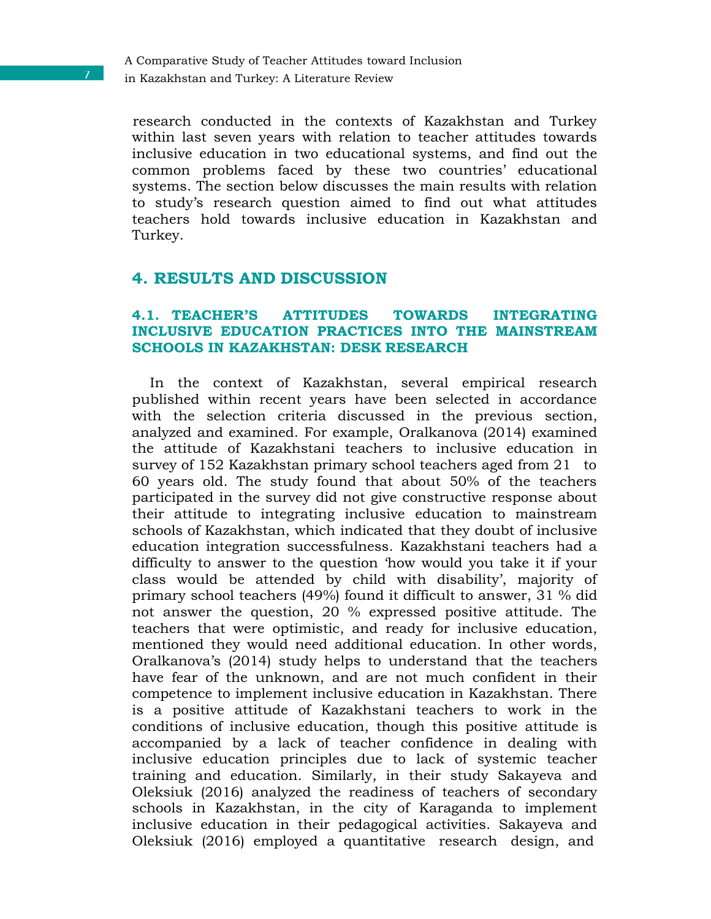research conducted in the contexts of Kazakhstan and Turkey within last seven years with relation to teacher attitudes towards inclusive education in two educational systems, and find out the common problems faced by these two countries' educational systems. The section below discusses the main results with relation to study's research question aimed to find out what attitudes teachers hold towards inclusive education in Kazakhstan and Turkey.

### **4. RESULTS AND DISCUSSION**

#### **4.1. TEACHER'S ATTITUDES TOWARDS INTEGRATING INCLUSIVE EDUCATION PRACTICES INTO THE MAINSTREAM SCHOOLS IN KAZAKHSTAN: DESK RESEARCH**

In the context of Kazakhstan, several empirical research published within recent years have been selected in accordance with the selection criteria discussed in the previous section, analyzed and examined. For example, Oralkanova (2014) examined the attitude of Kazakhstani teachers to inclusive education in survey of 152 Kazakhstan primary school teachers aged from 21 to 60 years old. The study found that about 50% of the teachers participated in the survey did not give constructive response about their attitude to integrating inclusive education to mainstream schools of Kazakhstan, which indicated that they doubt of inclusive education integration successfulness. Kazakhstani teachers had a difficulty to answer to the question 'how would you take it if your class would be attended by child with disability', majority of primary school teachers (49%) found it difficult to answer, 31 % did not answer the question, 20 % expressed positive attitude. The teachers that were optimistic, and ready for inclusive education, mentioned they would need additional education. In other words, Oralkanova's (2014) study helps to understand that the teachers have fear of the unknown, and are not much confident in their competence to implement inclusive education in Kazakhstan. There is a positive attitude of Kazakhstani teachers to work in the conditions of inclusive education, though this positive attitude is accompanied by a lack of teacher confidence in dealing with inclusive education principles due to lack of systemic teacher training and education. Similarly, in their study Sakayeva and Oleksiuk (2016) analyzed the readiness of teachers of secondary schools in Kazakhstan, in the city of Karaganda to implement inclusive education in their pedagogical activities. Sakayeva and Oleksiuk (2016) employed a quantitative research design, and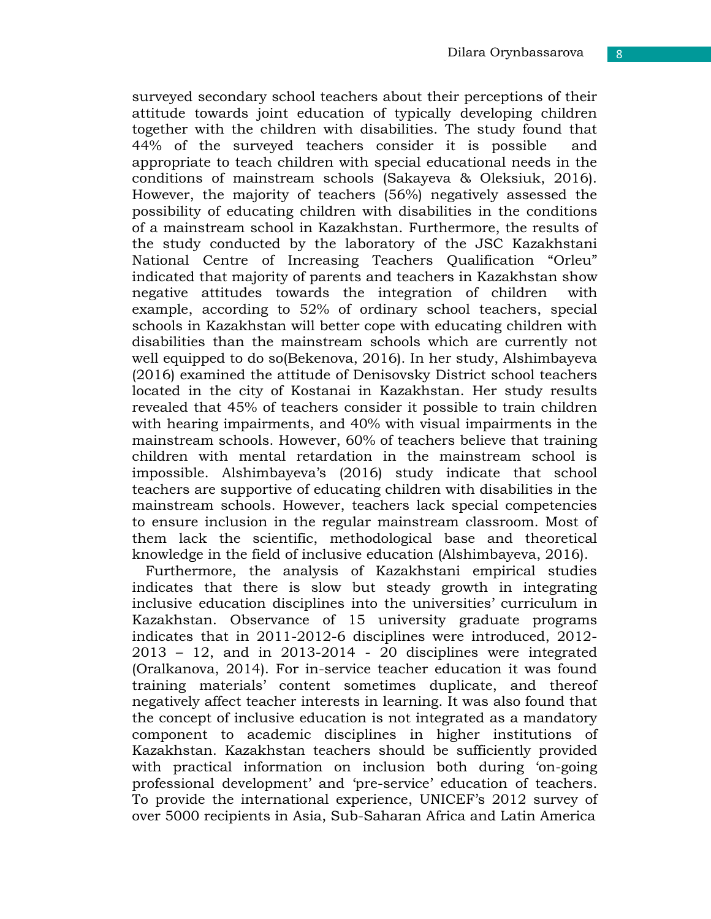surveyed secondary school teachers about their perceptions of their attitude towards joint education of typically developing children together with the children with disabilities. The study found that 44% of the surveyed teachers consider it is possible and appropriate to teach children with special educational needs in the conditions of mainstream schools (Sakayeva & Oleksiuk, 2016). However, the majority of teachers (56%) negatively assessed the possibility of educating children with disabilities in the conditions of a mainstream school in Kazakhstan. Furthermore, the results of the study conducted by the laboratory of the JSC Kazakhstani National Centre of Increasing Teachers Qualification "Orleu" indicated that majority of parents and teachers in Kazakhstan show negative attitudes towards the integration of children with example, according to 52% of ordinary school teachers, special schools in Kazakhstan will better cope with educating children with disabilities than the mainstream schools which are currently not well equipped to do so(Bekenova, 2016). In her study, Alshimbayeva (2016) examined the attitude of Denisovsky District school teachers located in the city of Kostanai in Kazakhstan. Her study results revealed that 45% of teachers consider it possible to train children with hearing impairments, and 40% with visual impairments in the mainstream schools. However, 60% of teachers believe that training children with mental retardation in the mainstream school is impossible. Alshimbayeva's (2016) study indicate that school teachers are supportive of educating children with disabilities in the mainstream schools. However, teachers lack special competencies to ensure inclusion in the regular mainstream classroom. Most of them lack the scientific, methodological base and theoretical knowledge in the field of inclusive education (Alshimbayeva, 2016).

Furthermore, the analysis of Kazakhstani empirical studies indicates that there is slow but steady growth in integrating inclusive education disciplines into the universities' curriculum in Kazakhstan. Observance of 15 university graduate programs indicates that in 2011-2012-6 disciplines were introduced, 2012-  $2013 - 12$ , and in  $2013-2014 - 20$  disciplines were integrated (Oralkanova, 2014). For in-service teacher education it was found training materials' content sometimes duplicate, and thereof negatively affect teacher interests in learning. It was also found that the concept of inclusive education is not integrated as a mandatory component to academic disciplines in higher institutions of Kazakhstan. Kazakhstan teachers should be sufficiently provided with practical information on inclusion both during 'on-going professional development' and 'pre-service' education of teachers. To provide the international experience, UNICEF's 2012 survey of over 5000 recipients in Asia, Sub-Saharan Africa and Latin America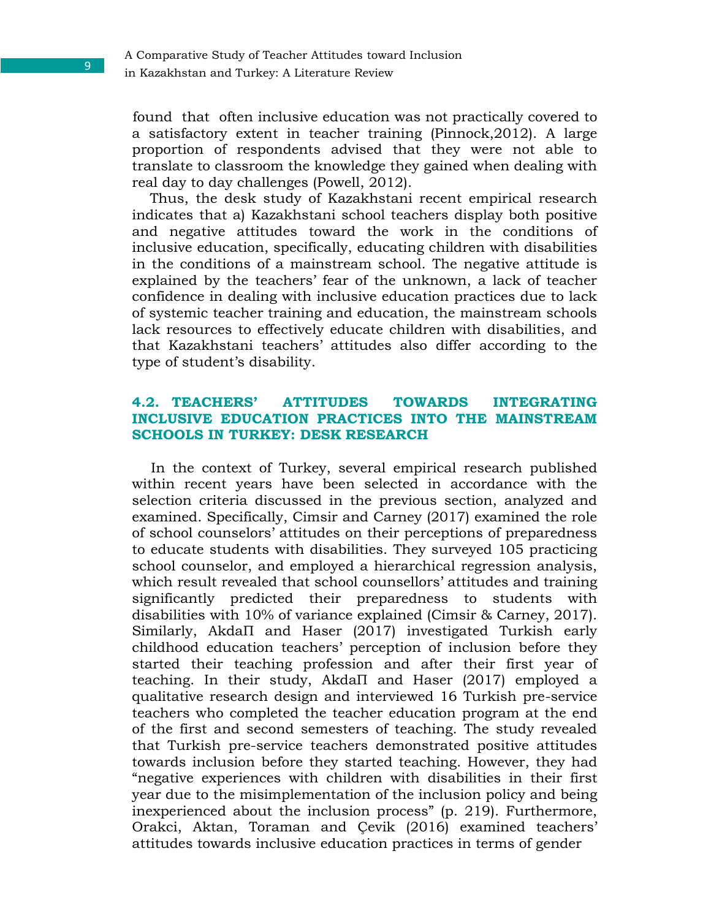found that often inclusive education was not practically covered to a satisfactory extent in teacher training (Pinnock,2012). A large proportion of respondents advised that they were not able to translate to classroom the knowledge they gained when dealing with real day to day challenges (Powell, 2012).

Thus, the desk study of Kazakhstani recent empirical research indicates that a) Kazakhstani school teachers display both positive and negative attitudes toward the work in the conditions of inclusive education, specifically, educating children with disabilities in the conditions of a mainstream school. The negative attitude is explained by the teachers' fear of the unknown, a lack of teacher confidence in dealing with inclusive education practices due to lack of systemic teacher training and education, the mainstream schools lack resources to effectively educate children with disabilities, and that Kazakhstani teachers' attitudes also differ according to the type of student's disability.

#### **4.2. TEACHERS' ATTITUDES TOWARDS INTEGRATING INCLUSIVE EDUCATION PRACTICES INTO THE MAINSTREAM SCHOOLS IN TURKEY: DESK RESEARCH**

In the context of Turkey, several empirical research published within recent years have been selected in accordance with the selection criteria discussed in the previous section, analyzed and examined. Specifically, Cimsir and Carney (2017) examined the role of school counselors' attitudes on their perceptions of preparedness to educate students with disabilities. They surveyed 105 practicing school counselor, and employed a hierarchical regression analysis, which result revealed that school counsellors' attitudes and training significantly predicted their preparedness to students with disabilities with 10% of variance explained (Cimsir & Carney, 2017). Similarly, AkdaП and Haser (2017) investigated Turkish early childhood education teachers' perception of inclusion before they started their teaching profession and after their first year of teaching. In their study, AkdaП and Haser (2017) employed a qualitative research design and interviewed 16 Turkish pre-service teachers who completed the teacher education program at the end of the first and second semesters of teaching. The study revealed that Turkish pre-service teachers demonstrated positive attitudes towards inclusion before they started teaching. However, they had "negative experiences with children with disabilities in their first year due to the misimplementation of the inclusion policy and being inexperienced about the inclusion process" (p. 219). Furthermore, Orakci, Aktan, Toraman and Çevik (2016) examined teachers' attitudes towards inclusive education practices in terms of gender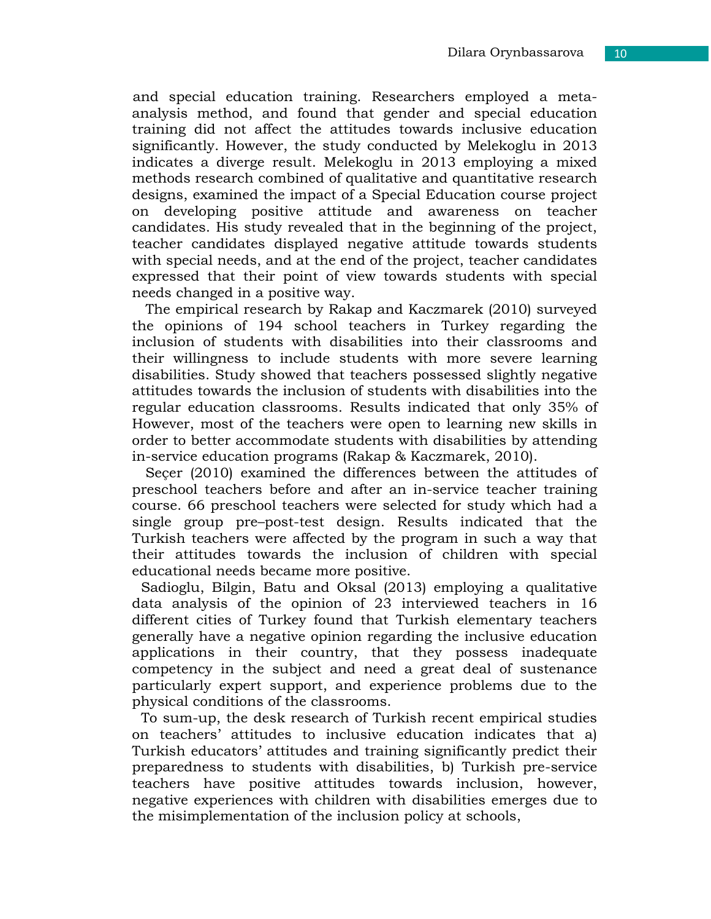and special education training. Researchers employed a metaanalysis method, and found that gender and special education training did not affect the attitudes towards inclusive education significantly. However, the study conducted by Melekoglu in 2013 indicates a diverge result. Melekoglu in 2013 employing a mixed methods research combined of qualitative and quantitative research designs, examined the impact of a Special Education course project on developing positive attitude and awareness on teacher candidates. His study revealed that in the beginning of the project, teacher candidates displayed negative attitude towards students with special needs, and at the end of the project, teacher candidates expressed that their point of view towards students with special needs changed in a positive way.

The empirical research by Rakap and Kaczmarek (2010) surveyed the opinions of 194 school teachers in Turkey regarding the inclusion of students with disabilities into their classrooms and their willingness to include students with more severe learning disabilities. Study showed that teachers possessed slightly negative attitudes towards the inclusion of students with disabilities into the regular education classrooms. Results indicated that only 35% of However, most of the teachers were open to learning new skills in order to better accommodate students with disabilities by attending in-service education programs (Rakap & Kaczmarek, 2010).

Seçer (2010) examined the differences between the attitudes of preschool teachers before and after an in-service teacher training course. 66 preschool teachers were selected for study which had a single group pre–post-test design. Results indicated that the Turkish teachers were affected by the program in such a way that their attitudes towards the inclusion of children with special educational needs became more positive.

Sadioglu, Bilgin, Batu and Oksal (2013) employing a qualitative data analysis of the opinion of 23 interviewed teachers in 16 different cities of Turkey found that Turkish elementary teachers generally have a negative opinion regarding the inclusive education applications in their country, that they possess inadequate competency in the subject and need a great deal of sustenance particularly expert support, and experience problems due to the physical conditions of the classrooms.

To sum-up, the desk research of Turkish recent empirical studies on teachers' attitudes to inclusive education indicates that a) Turkish educators' attitudes and training significantly predict their preparedness to students with disabilities, b) Turkish pre-service teachers have positive attitudes towards inclusion, however, negative experiences with children with disabilities emerges due to the misimplementation of the inclusion policy at schools,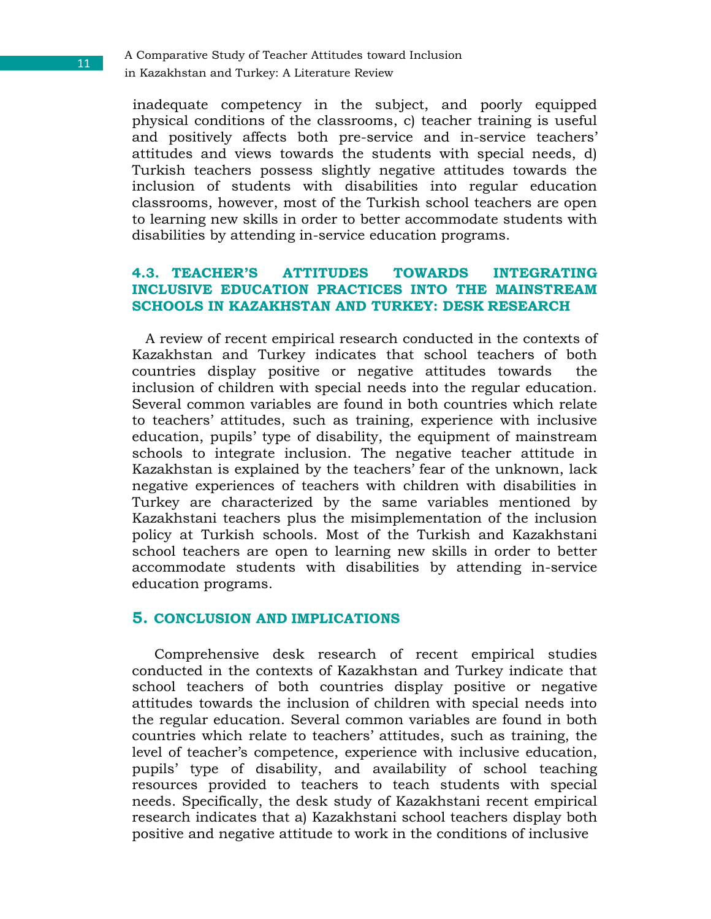A Comparative Study of Teacher Attitudes toward Inclusion in Kazakhstan and Turkey: A Literature Review

inadequate competency in the subject, and poorly equipped physical conditions of the classrooms, c) teacher training is useful and positively affects both pre-service and in-service teachers' attitudes and views towards the students with special needs, d) Turkish teachers possess slightly negative attitudes towards the inclusion of students with disabilities into regular education classrooms, however, most of the Turkish school teachers are open to learning new skills in order to better accommodate students with disabilities by attending in-service education programs.

#### **4.3. TEACHER'S ATTITUDES TOWARDS INTEGRATING INCLUSIVE EDUCATION PRACTICES INTO THE MAINSTREAM SCHOOLS IN KAZAKHSTAN AND TURKEY: DESK RESEARCH**

A review of recent empirical research conducted in the contexts of Kazakhstan and Turkey indicates that school teachers of both countries display positive or negative attitudes towards the inclusion of children with special needs into the regular education. Several common variables are found in both countries which relate to teachers' attitudes, such as training, experience with inclusive education, pupils' type of disability, the equipment of mainstream schools to integrate inclusion. The negative teacher attitude in Kazakhstan is explained by the teachers' fear of the unknown, lack negative experiences of teachers with children with disabilities in Turkey are characterized by the same variables mentioned by Kazakhstani teachers plus the misimplementation of the inclusion policy at Turkish schools. Most of the Turkish and Kazakhstani school teachers are open to learning new skills in order to better accommodate students with disabilities by attending in-service education programs.

#### **5. CONCLUSION AND IMPLICATIONS**

Comprehensive desk research of recent empirical studies conducted in the contexts of Kazakhstan and Turkey indicate that school teachers of both countries display positive or negative attitudes towards the inclusion of children with special needs into the regular education. Several common variables are found in both countries which relate to teachers' attitudes, such as training, the level of teacher's competence, experience with inclusive education, pupils' type of disability, and availability of school teaching resources provided to teachers to teach students with special needs. Specifically, the desk study of Kazakhstani recent empirical research indicates that a) Kazakhstani school teachers display both positive and negative attitude to work in the conditions of inclusive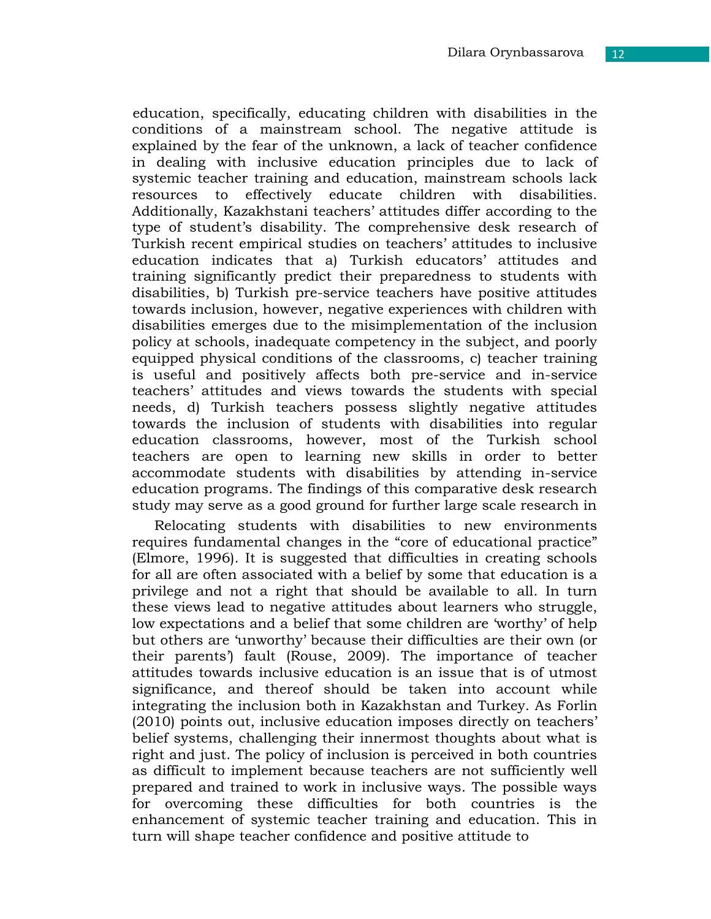education, specifically, educating children with disabilities in the conditions of a mainstream school. The negative attitude is explained by the fear of the unknown, a lack of teacher confidence in dealing with inclusive education principles due to lack of systemic teacher training and education, mainstream schools lack resources to effectively educate children with disabilities. Additionally, Kazakhstani teachers' attitudes differ according to the type of student's disability. The comprehensive desk research of Turkish recent empirical studies on teachers' attitudes to inclusive education indicates that a) Turkish educators' attitudes and training significantly predict their preparedness to students with disabilities, b) Turkish pre-service teachers have positive attitudes towards inclusion, however, negative experiences with children with disabilities emerges due to the misimplementation of the inclusion policy at schools, inadequate competency in the subject, and poorly equipped physical conditions of the classrooms, c) teacher training is useful and positively affects both pre-service and in-service teachers' attitudes and views towards the students with special needs, d) Turkish teachers possess slightly negative attitudes towards the inclusion of students with disabilities into regular education classrooms, however, most of the Turkish school teachers are open to learning new skills in order to better accommodate students with disabilities by attending in-service education programs. The findings of this comparative desk research study may serve as a good ground for further large scale research in

Relocating students with disabilities to new environments requires fundamental changes in the "core of educational practice" (Elmore, 1996). It is suggested that difficulties in creating schools for all are often associated with a belief by some that education is a privilege and not a right that should be available to all. In turn these views lead to negative attitudes about learners who struggle, low expectations and a belief that some children are 'worthy' of help but others are 'unworthy' because their difficulties are their own (or their parents') fault (Rouse, 2009). The importance of teacher attitudes towards inclusive education is an issue that is of utmost significance, and thereof should be taken into account while integrating the inclusion both in Kazakhstan and Turkey. As Forlin (2010) points out, inclusive education imposes directly on teachers' belief systems, challenging their innermost thoughts about what is right and just. The policy of inclusion is perceived in both countries as difficult to implement because teachers are not sufficiently well prepared and trained to work in inclusive ways. The possible ways for overcoming these difficulties for both countries is the enhancement of systemic teacher training and education. This in turn will shape teacher confidence and positive attitude to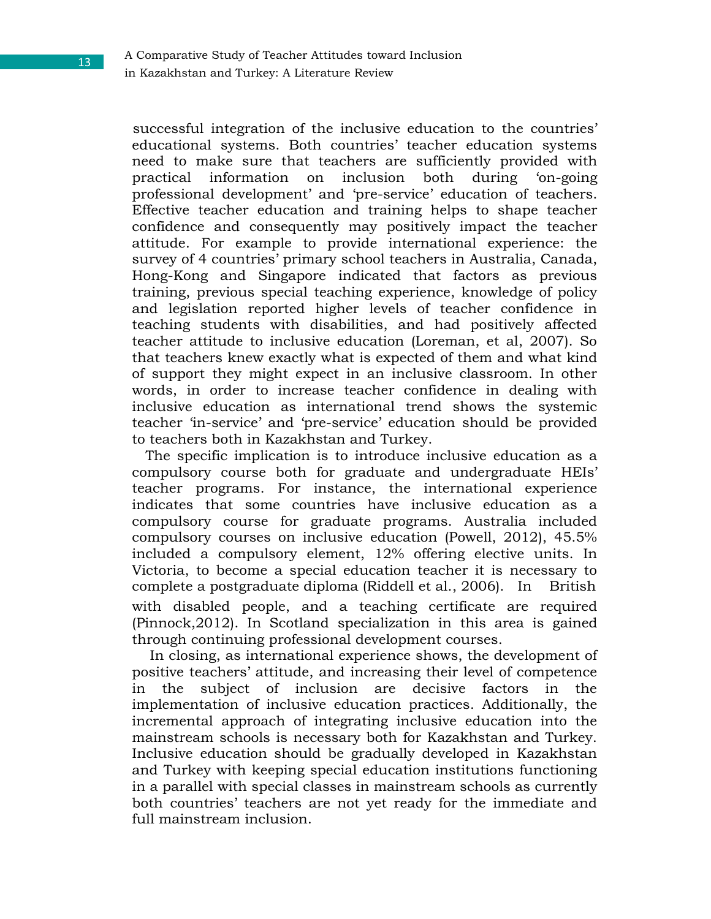successful integration of the inclusive education to the countries' educational systems. Both countries' teacher education systems need to make sure that teachers are sufficiently provided with practical information on inclusion both during 'on-going professional development' and 'pre-service' education of teachers. Effective teacher education and training helps to shape teacher confidence and consequently may positively impact the teacher attitude. For example to provide international experience: the survey of 4 countries' primary school teachers in Australia, Canada, Hong-Kong and Singapore indicated that factors as previous training, previous special teaching experience, knowledge of policy and legislation reported higher levels of teacher confidence in teaching students with disabilities, and had positively affected teacher attitude to inclusive education (Loreman, et al, 2007). So that teachers knew exactly what is expected of them and what kind of support they might expect in an inclusive classroom. In other words, in order to increase teacher confidence in dealing with inclusive education as international trend shows the systemic teacher 'in-service' and 'pre-service' education should be provided to teachers both in Kazakhstan and Turkey.

The specific implication is to introduce inclusive education as a compulsory course both for graduate and undergraduate HEIs' teacher programs. For instance, the international experience indicates that some countries have inclusive education as a compulsory course for graduate programs. Australia included compulsory courses on inclusive education (Powell, 2012), 45.5% included a compulsory element, 12% offering elective units. In Victoria, to become a special education teacher it is necessary to complete a postgraduate diploma (Riddell et al., 2006). In British with disabled people, and a teaching certificate are required (Pinnock,2012). In Scotland specialization in this area is gained through continuing professional development courses.

In closing, as international experience shows, the development of positive teachers' attitude, and increasing their level of competence in the subject of inclusion are decisive factors in the implementation of inclusive education practices. Additionally, the incremental approach of integrating inclusive education into the mainstream schools is necessary both for Kazakhstan and Turkey. Inclusive education should be gradually developed in Kazakhstan and Turkey with keeping special education institutions functioning in a parallel with special classes in mainstream schools as currently both countries' teachers are not yet ready for the immediate and full mainstream inclusion.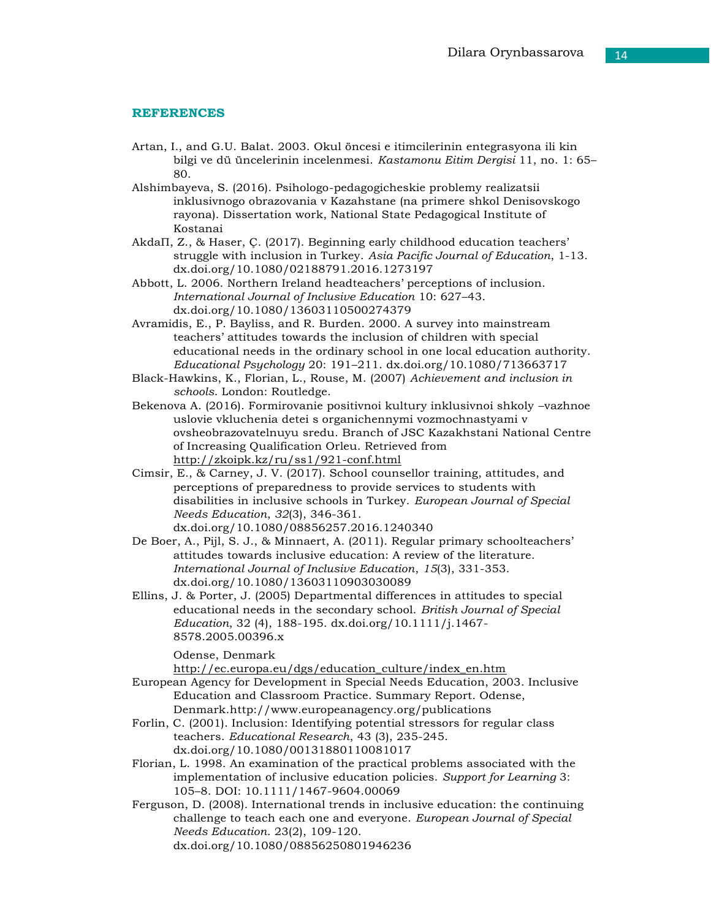#### **REFERENCES**

- Artan, I., and G.U. Balat. 2003. Okul öncesi e itimcilerinin entegrasyona ili kin bilgi ve dü üncelerinin incelenmesi. *Kastamonu Eitim Dergisi* 11, no. 1: 65– 80.
- Alshimbayeva, S. (2016). Psihologo-pedagogicheskie problemy realizatsii inklusivnogo obrazovania v Kazahstane (na primere shkol Denisovskogo rayona). Dissertation work, National State Pedagogical Institute of Kostanai
- AkdaП, Z., & Haser, Ç. (2017). Beginning early childhood education teachers' struggle with inclusion in Turkey. *Asia Pacific Journal of Education*, 1-13. dx.doi.org/10.1080/02188791.2016.1273197
- Abbott, L. 2006. Northern Ireland headteachers' perceptions of inclusion. *International Journal of Inclusive Education* 10: 627–43. dx.doi.org/10.1080/13603110500274379
- Avramidis, E., P. Bayliss, and R. Burden. 2000. A survey into mainstream teachers' attitudes towards the inclusion of children with special educational needs in the ordinary school in one local education authority. *Educational Psychology* 20: 191–211. dx.doi.org/10.1080/713663717
- Black-Hawkins, K., Florian, L., Rouse, M. (2007) *Achievement and inclusion in schools*. London: Routledge.
- Bekenova A. (2016). Formirovanie positivnoi kultury inklusivnoi shkoly –vazhnoe uslovie vkluchenia detei s organichennymi vozmochnastyami v ovsheobrazovatelnuyu sredu. Branch of JSC Kazakhstani National Centre of Increasing Qualification Orleu. Retrieved from <http://zkoipk.kz/ru/ss1/921-conf.html>
- Cimsir, E., & Carney, J. V. (2017). School counsellor training, attitudes, and perceptions of preparedness to provide services to students with disabilities in inclusive schools in Turkey. *European Journal of Special Needs Education*, *32*(3), 346-361. dx.doi.org/10.1080/08856257.2016.1240340
- De Boer, A., Pijl, S. J., & Minnaert, A. (2011). Regular primary schoolteachers' attitudes towards inclusive education: A review of the literature. *International Journal of Inclusive Education*, *15*(3), 331-353. dx.doi.org/10.1080/13603110903030089
- Ellins, J. & Porter, J. (2005) Departmental differences in attitudes to special educational needs in the secondary school. *British Journal of Special Education*, 32 (4), 188-195. dx.doi.org/10.1111/j.1467- 8578.2005.00396.x

Odense, Denmark

[http://ec.europa.eu/dgs/education\\_culture/index\\_en.htm](http://ec.europa.eu/dgs/education_culture/index_en.htm)

- European Agency for Development in Special Needs Education, 2003. Inclusive Education and Classroom Practice. Summary Report. Odense, Denmar[k.http://www.europeanagency.org/publications](http://www.europeanagency.org/publications)
- Forlin, C. (2001). Inclusion: Identifying potential stressors for regular class teachers. *Educational Research*, 43 (3), 235-245. dx.doi.org/10.1080/00131880110081017
- Florian, L. 1998. An examination of the practical problems associated with the implementation of inclusive education policies. *Support for Learning* 3: 105–8. DOI: 10.1111/1467-9604.00069
- Ferguson, D. (2008). International trends in inclusive education: the continuing challenge to teach each one and everyone. *European Journal of Special Needs Education*. 23(2), 109-120. dx.doi.org/10.1080/08856250801946236

14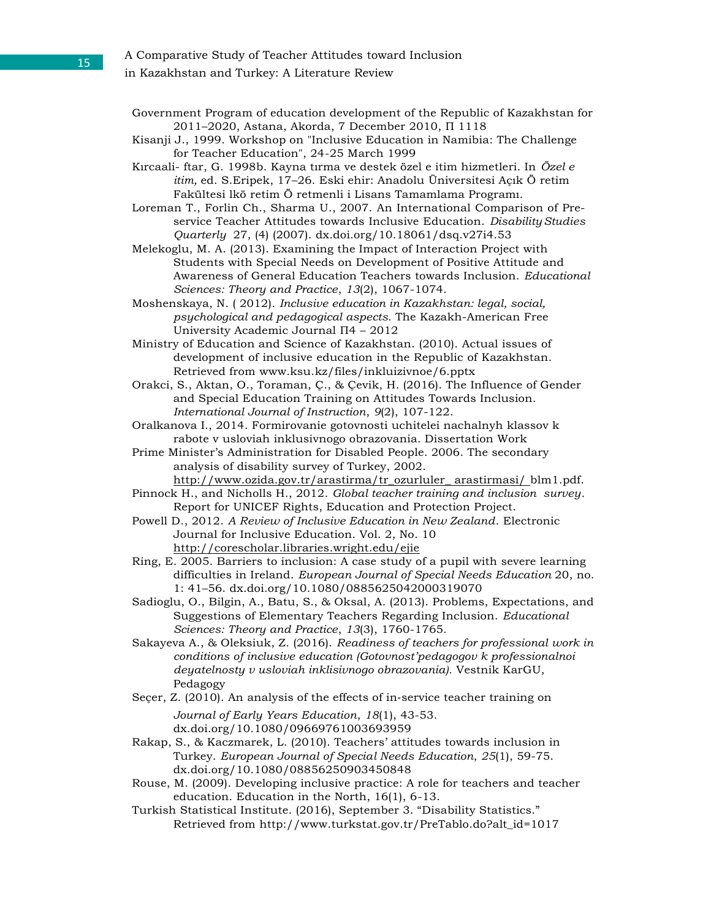#### A Comparative Study of Teacher Attitudes toward Inclusion

- in Kazakhstan and Turkey: A Literature Review
- Government Program of education development of the Republic of Kazakhstan for 2011–2020, Astana, Akorda, 7 December 2010, П 1118
- Kisanji J., 1999. Workshop on "Inclusive Education in Namibia: The Challenge for Teacher Education", 24-25 March 1999
- Kırcaali- ftar, G. 1998b. Kayna tırma ve destek özel e itim hizmetleri. In *Özel e itim,* ed. S.Eripek, 17–26. Eski ehir: Anadolu Üniversitesi Açık Ö retim Fakültesi lkö retim Ö retmenli i Lisans Tamamlama Programı.
- Loreman T., Forlin Ch., Sharma U., 2007. An International Comparison of Preservice Teacher Attitudes towards Inclusive Education. *Disability Studies Quarterly* 27, (4) (2007). dx.doi.org/10.18061/dsq.v27i4.53
- Melekoglu, M. A. (2013). Examining the Impact of Interaction Project with Students with Special Needs on Development of Positive Attitude and Awareness of General Education Teachers towards Inclusion. *Educational Sciences: Theory and Practice*, *13*(2), 1067-1074.
- Moshenskaya, N. ( 2012). *Inclusive education in Kazakhstan: legal, social, psychological and pedagogical aspects.* The Kazakh-American Free University Academic Journal П4 – 2012
- Ministry of Education and Science of Kazakhstan. (2010). Actual issues of development of inclusive education in the Republic of Kazakhstan. Retrieved from [www.ksu.kz/files/inkluizivnoe/6.pptx](http://www.ksu.kz/files/inkluizivnoe/6.pptx)
- Orakci, S., Aktan, O., Toraman, Ç., & Çevik, H. (2016). The Influence of Gender and Special Education Training on Attitudes Towards Inclusion. *International Journal of Instruction*, *9*(2), 107-122.
- Oralkanova I., 2014. Formirovanie gotovnosti uchitelei nachalnyh klassov k rabote v usloviah inklusivnogo obrazovania. Dissertation Work

Prime Minister's Administration for Disabled People. 2006. The secondary analysis of disability survey of Turkey, 2002. [http://www.ozida.gov.tr/arastirma/tr\\_ozurluler\\_ arastirmasi/ b](http://www.ozida.gov.tr/arastirma/tr_ozurluler_arastirmasi/)lm1.pdf.

- Pinnock H., and Nicholls H., 2012. *Global teacher training and inclusion survey*. Report for UNICEF Rights, Education and Protection Project.
- Powell D., 2012. *A Review of Inclusive Education in New Zealand*. Electronic Journal for Inclusive Education. Vol. 2, No. 10 <http://corescholar.libraries.wright.edu/ejie>
- Ring, E. 2005. Barriers to inclusion: A case study of a pupil with severe learning difficulties in Ireland. *European Journal of Special Needs Education* 20, no. 1: 41–56. dx.doi.org/10.1080/0885625042000319070
- Sadioglu, O., Bilgin, A., Batu, S., & Oksal, A. (2013). Problems, Expectations, and Suggestions of Elementary Teachers Regarding Inclusion. *Educational Sciences: Theory and Practice*, *13*(3), 1760-1765.
- Sakayeva A., & Oleksiuk, Z. (2016). *Readiness of teachers for professional work in conditions of inclusive education (Gotovnost'pedagogov k professionalnoi deyatelnosty v usloviah inklisivnogo obrazovania).* Vestnik KarGU, Pedagogy
- Seçer, Z. (2010). An analysis of the effects of in-service teacher training on *Journal of Early Years Education*, *18*(1), 43-53. dx.doi.org/10.1080/09669761003693959
- Rakap, S., & Kaczmarek, L. (2010). Teachers' attitudes towards inclusion in Turkey. *European Journal of Special Needs Education*, *25*(1), 59-75. dx.doi.org/10.1080/08856250903450848
- Rouse, M. (2009). Developing inclusive practice: A role for teachers and teacher education. Education in the North, 16(1), 6-13.
- Turkish Statistical Institute. (2016), September 3. "Disability Statistics." Retrieved from [http://www.turkstat.gov.tr/PreTablo.do?alt\\_id=1017](http://www.turkstat.gov.tr/PreTablo.do?alt_id=1017)